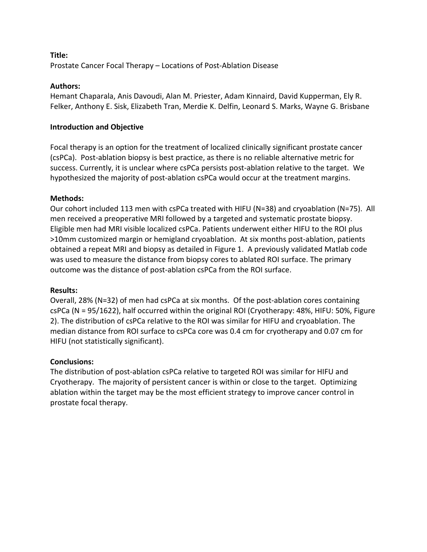### **Title:** Prostate Cancer Focal Therapy – Locations of Post-Ablation Disease

### **Authors:**

Hemant Chaparala, Anis Davoudi, Alan M. Priester, Adam Kinnaird, David Kupperman, Ely R. Felker, Anthony E. Sisk, Elizabeth Tran, Merdie K. Delfin, Leonard S. Marks, Wayne G. Brisbane

# **Introduction and Objective**

Focal therapy is an option for the treatment of localized clinically significant prostate cancer (csPCa). Post-ablation biopsy is best practice, as there is no reliable alternative metric for success. Currently, it is unclear where csPCa persists post-ablation relative to the target. We hypothesized the majority of post-ablation csPCa would occur at the treatment margins.

# **Methods:**

Our cohort included 113 men with csPCa treated with HIFU (N=38) and cryoablation (N=75). All men received a preoperative MRI followed by a targeted and systematic prostate biopsy. Eligible men had MRI visible localized csPCa. Patients underwent either HIFU to the ROI plus >10mm customized margin or hemigland cryoablation. At six months post-ablation, patients obtained a repeat MRI and biopsy as detailed in Figure 1. A previously validated Matlab code was used to measure the distance from biopsy cores to ablated ROI surface. The primary outcome was the distance of post-ablation csPCa from the ROI surface.

# **Results:**

Overall, 28% (N=32) of men had csPCa at six months. Of the post-ablation cores containing csPCa (N = 95/1622), half occurred within the original ROI (Cryotherapy: 48%, HIFU: 50%, Figure 2). The distribution of csPCa relative to the ROI was similar for HIFU and cryoablation. The median distance from ROI surface to csPCa core was 0.4 cm for cryotherapy and 0.07 cm for HIFU (not statistically significant).

# **Conclusions:**

The distribution of post-ablation csPCa relative to targeted ROI was similar for HIFU and Cryotherapy. The majority of persistent cancer is within or close to the target. Optimizing ablation within the target may be the most efficient strategy to improve cancer control in prostate focal therapy.